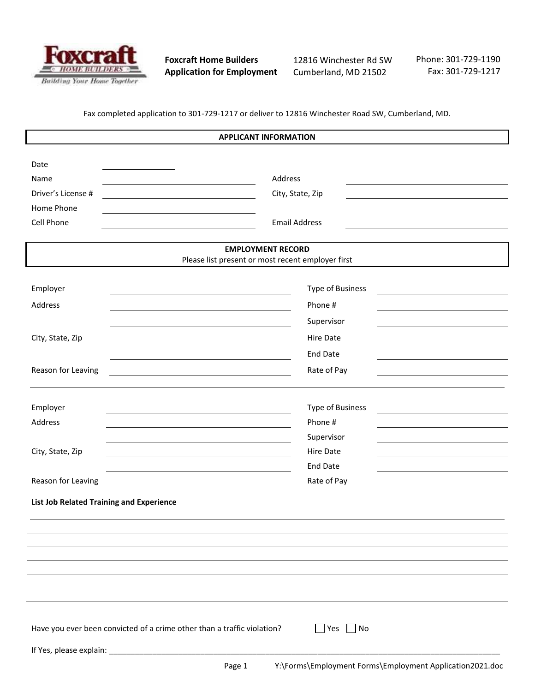

**Foxcraft Home Builders Application for Employment** 12816 Winchester Rd SW Cumberland, MD 21502

Page 1 Y:\Forms\Employment Forms\Employment Application2021.doc

Phone: 301-729-1190 Fax: 301-729-1217

Fax completed application to 301-729-1217 or deliver to 12816 Winchester Road SW, Cumberland, MD.

| <b>APPLICANT INFORMATION</b>                                                  |                                                                                                               |  |  |  |
|-------------------------------------------------------------------------------|---------------------------------------------------------------------------------------------------------------|--|--|--|
| Date                                                                          |                                                                                                               |  |  |  |
| Name                                                                          | Address                                                                                                       |  |  |  |
| Driver's License #                                                            | City, State, Zip                                                                                              |  |  |  |
| Home Phone                                                                    |                                                                                                               |  |  |  |
| Cell Phone                                                                    | <b>Email Address</b>                                                                                          |  |  |  |
| <b>EMPLOYMENT RECORD</b><br>Please list present or most recent employer first |                                                                                                               |  |  |  |
|                                                                               |                                                                                                               |  |  |  |
| Employer                                                                      | Type of Business<br>the control of the control of the control of the control of the control of the control of |  |  |  |
| Address                                                                       | Phone #                                                                                                       |  |  |  |
|                                                                               | Supervisor                                                                                                    |  |  |  |
| City, State, Zip                                                              | <b>Hire Date</b>                                                                                              |  |  |  |
|                                                                               | <b>End Date</b>                                                                                               |  |  |  |
| Reason for Leaving                                                            | Rate of Pay                                                                                                   |  |  |  |
|                                                                               |                                                                                                               |  |  |  |
| Employer                                                                      | <b>Type of Business</b>                                                                                       |  |  |  |
| Address                                                                       | Phone #                                                                                                       |  |  |  |
|                                                                               | Supervisor                                                                                                    |  |  |  |
| City, State, Zip                                                              | Hire Date                                                                                                     |  |  |  |
|                                                                               | <b>End Date</b>                                                                                               |  |  |  |
| Reason for Leaving                                                            | Rate of Pay                                                                                                   |  |  |  |
| <b>List Job Related Training and Experience</b>                               |                                                                                                               |  |  |  |
|                                                                               |                                                                                                               |  |  |  |
|                                                                               |                                                                                                               |  |  |  |
|                                                                               |                                                                                                               |  |  |  |
|                                                                               |                                                                                                               |  |  |  |
|                                                                               |                                                                                                               |  |  |  |
|                                                                               |                                                                                                               |  |  |  |
|                                                                               |                                                                                                               |  |  |  |
| Have you ever been convicted of a crime other than a traffic violation?       | $\Box$ Yes $\Box$ No                                                                                          |  |  |  |
|                                                                               |                                                                                                               |  |  |  |